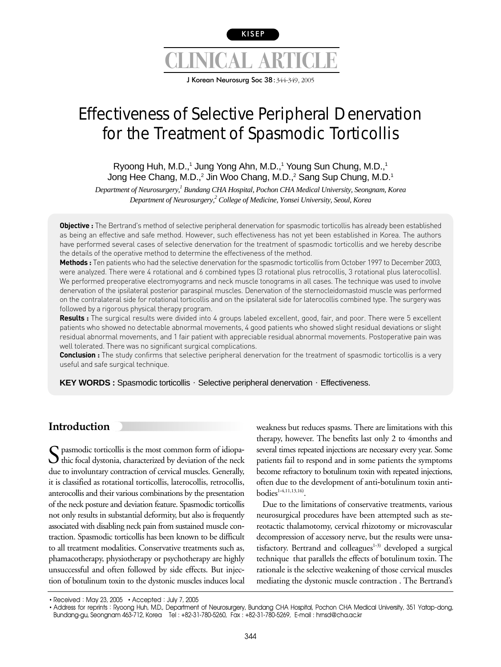

J Korean Neurosurg Soc 38:344-349, 2005

# Effectiveness of Selective Peripheral Denervation for the Treatment of Spasmodic Torticollis

## Ryoong Huh, M.D.,<sup>1</sup> Jung Yong Ahn, M.D.,<sup>1</sup> Young Sun Chung, M.D.,<sup>1</sup> Jong Hee Chang, M.D.,<sup>2</sup> Jin Woo Chang, M.D.,<sup>2</sup> Sang Sup Chung, M.D.<sup>1</sup>

*Department of Neurosurgery,1 Bundang CHA Hospital, Pochon CHA Medical University, Seongnam, Korea Department of Neurosurgery,2 College of Medicine, Yonsei University, Seoul, Korea*

**Objective :** The Bertrand's method of selective peripheral denervation for spasmodic torticollis has already been established as being an effective and safe method. However, such effectiveness has not yet been established in Korea. The authors have performed several cases of selective denervation for the treatment of spasmodic torticollis and we hereby describe the details of the operative method to determine the effectiveness of the method.

**Methods :** Ten patients who had the selective denervation for the spasmodic torticollis from October 1997 to December 2003, were analyzed. There were 4 rotational and 6 combined types (3 rotational plus retrocollis, 3 rotational plus laterocollis). We performed preoperative electromyograms and neck muscle tonograms in all cases. The technique was used to involve denervation of the ipsilateral posterior paraspinal muscles. Denervation of the sternocleidomastoid muscle was performed on the contralateral side for rotational torticollis and on the ipsilateral side for laterocollis combined type. The surgery was followed by a rigorous physical therapy program.

**Results :** The surgical results were divided into 4 groups labeled excellent, good, fair, and poor. There were 5 excellent patients who showed no detectable abnormal movements, 4 good patients who showed slight residual deviations or slight residual abnormal movements, and 1 fair patient with appreciable residual abnormal movements. Postoperative pain was well tolerated. There was no significant surgical complications.

**Conclusion :** The study confirms that selective peripheral denervation for the treatment of spasmodic torticollis is a very useful and safe surgical technique.

**KEY WORDS :** Spasmodic torticollis · Selective peripheral denervation · Effectiveness.

# **Introduction**

 $\sum$  pasmodic torticollis is the most common form of idiopa- $\bigcup$  thic focal dystonia, characterized by deviation of the neck due to involuntary contraction of cervical muscles. Generally, it is classified as rotational torticollis, laterocollis, retrocollis, anterocollis and their various combinations by the presentation of the neck posture and deviation feature. Spasmodic torticollis not only results in substantial deformity, but also is frequently associated with disabling neck pain from sustained muscle contraction. Spasmodic torticollis has been known to be difficult to all treatment modalities. Conservative treatments such as, phamacotherapy, physiotherapy or psychotherapy are highly unsuccessful and often followed by side effects. But injection of botulinum toxin to the dystonic muscles induces local

weakness but reduces spasms. There are limitations with this therapy, however. The benefits last only 2 to 4months and several times repeated injections are necessary every year. Some patients fail to respond and in some patients the symptoms become refractory to botulinum toxin with repeated injections, often due to the development of anti-botulinum toxin anti $bodies<sup>1-4,11,13,16</sup>$ .

Due to the limitations of conservative treatments, various neurosurgical procedures have been attempted such as stereotactic thalamotomy, cervical rhizotomy or microvascular decompression of accessory nerve, but the results were unsatisfactory. Bertrand and colleagues $1-3$  developed a surgical technique that parallels the effects of botulinum toxin. The rationale is the selective weakening of those cervical muscles mediating the dystonic muscle contraction . The Bertrand's

<sup>•</sup> Received: May 23, 2005 • Accepted: July 7, 2005

<sup>•</sup> Address for reprints: Ryoong Huh, M.D., Department of Neurosurgery, Bundang CHA Hospital, Pochon CHA Medical University, 351 Yatap-dong, Bundang-gu, Seongnam 463-712, Korea Tel : +82-31-780-5260, Fax : +82-31-780-5269, E-mail : hrnsd@cha.ac.kr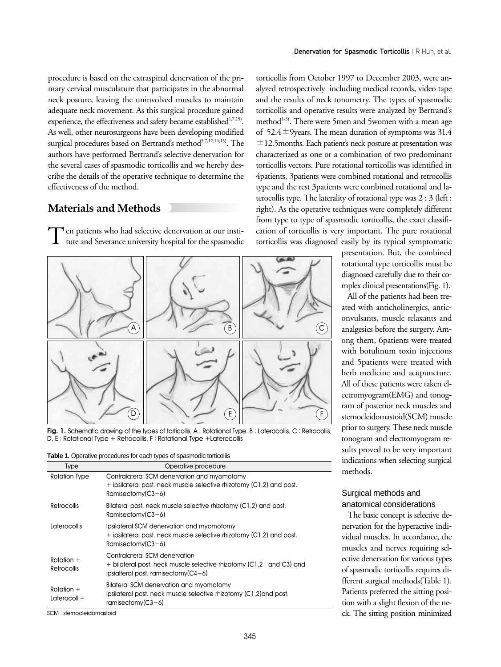procedure is based on the extraspinal denervation of the primary cervical musculature that participates in the abnormal neck posture, leaving the uninvolved muscles to maintain adequate neck movement. As this surgical procedure gained experience, the effectiveness and safety became established<sup>1,7,15)</sup>. As well, other neurosurgeons have been developing modified surgical procedures based on Bertrand's method<sup>5,7,12,14,15)</sup>. The authors have performed Bertrand's selective denervation for the several cases of spasmodic torticollis and we hereby describe the details of the operative technique to determine the effectiveness of the method.

## **Materials and Methods**

Ten patients who had selective denervation at our institute and Severance university hospital for the spasmodic



Fig. 1. Schematic drawing of the types of torticollis, A: Rotational Type. B: Laterocollis, C: Retrocollis, D, E : Rotational Type + Retrocollis, F : Rotational Type +Laterocollis

|  | <b>Table 1.</b> Operative procedures for each types of spasmodic torticoliis |  |  |  |
|--|------------------------------------------------------------------------------|--|--|--|
|  |                                                                              |  |  |  |

| Operative procedure                                                                                                                           |
|-----------------------------------------------------------------------------------------------------------------------------------------------|
| Contralateral SCM denervation and myomotomy<br>+ ipsilateral post, neck muscle selective rhizotomy (C1,2) and post.<br>Ramisectomy $(C3-6)$   |
| Bilateral post, neck muscle selective rhizotomy (C1,2) and post.<br>$Ramisectomv(C3-6)$                                                       |
| Ipsilateral SCM denervation and myomotomy<br>+ ipsilateral post, neck muscle selective rhizotomy (C1,2) and post.<br>Ramisectomy $(C3-6)$     |
| Contralateral SCM denervation<br>+ bilateral post, neck muscle selective rhizotomy (C1.2 and C3) and<br>$ipsialteral post. ramisectomv(C4-6)$ |
| Bilateral SCM denervation and myomotomy<br>ipsilateral post, neck muscle selective rhizotomy (C1,2) and post.<br>ramisectomy( $C3-6$ )        |
|                                                                                                                                               |

SCM : sternocleidomastoid

torticollis from October 1997 to December 2003, were analyzed retrospectively including medical records, video tape and the results of neck tonometry. The types of spasmodic torticollis and operative results were analyzed by Bertrand's method<sup>1-3)</sup>. There were 5men and 5women with a mean age of 52.4 $\pm$ 9years. The mean duration of symptoms was 31.4  $\pm$ 12.5months. Each patient's neck posture at presentation was characterized as one or a combination of two predominant torticollis vectors. Pure rotational torticollis was identified in 4patients, 3patients were combined rotational and retrocollis type and the rest 3patients were combined rotational and laterocollis type. The laterality of rotational type was 2 : 3 (left : right). As the operative techniques were completely different from type to type of spasmodic torticollis, the exact classification of torticollis is very important. The pure rotational torticollis was diagnosed easily by its typical symptomatic

> presentation. But, the combined rotational type torticollis must be diagnosed carefully due to their complex clinical presentations(Fig. 1).

> All of the patients had been treated with anticholinergics, anticonvulsants, muscle relaxants and analgesics before the surgery. Among them, 6patients were treated with botulinum toxin injections and 5patients were treated with herb medicine and acupuncture. All of these patients were taken electromyogram(EMG) and tonogram of posterior neck muscles and sternocleidomastoid(SCM) muscle prior to surgery. These neck muscle tonogram and electromyogram results proved to be very important indications when selecting surgical methods.

## Surgical methods and anatomical considerations

The basic concept is selective denervation for the hyperactive individual muscles. In accordance, the muscles and nerves requiring selective denervation for various types of spasmodic torticollis requires different surgical methods(Table 1). Patients preferred the sitting position with a slight flexion of the neck. The sitting position minimized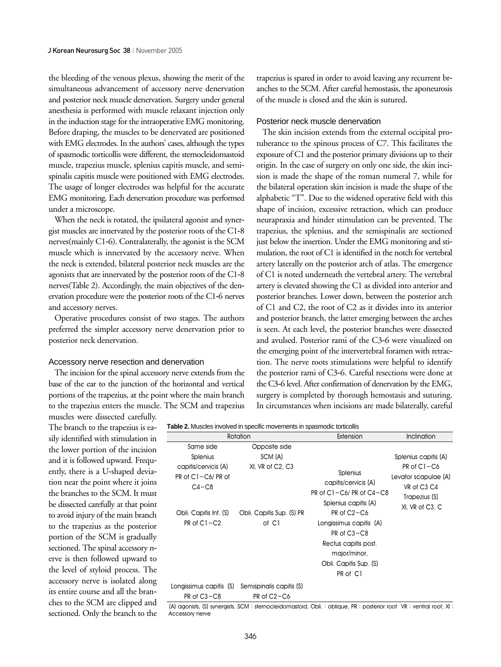the bleeding of the venous plexus, showing the merit of the simultaneous advancement of accessory nerve denervation and posterior neck muscle denervation. Surgery under general anesthesia is performed with muscle relaxant injection only in the induction stage for the intraoperative EMG monitoring. Before draping, the muscles to be denervated are positioned with EMG electrodes. In the authors' cases, although the types of spasmodic torticollis were different, the sternocleidomastoid muscle, trapezius muscle, splenius capitis muscle, and semispinalis capitis muscle were positioned with EMG electrodes. The usage of longer electrodes was helpful for the accurate EMG monitoring. Each denervation procedure was performed under a microscope.

When the neck is rotated, the ipsilateral agonist and synergist muscles are innervated by the posterior roots of the C1-8 nerves(mainly C1-6). Contralaterally, the agonist is the SCM muscle which is innervated by the accessory nerve. When the neck is extended, bilateral posterior neck muscles are the agonists that are innervated by the posterior roots of the C1-8 nerves(Table 2). Accordingly, the main objectives of the denervation procedure were the posterior roots of the C1-6 nerves and accessory nerves.

Operative procedures consist of two stages. The authors preferred the simpler accessory nerve denervation prior to posterior neck denervation.

### Accessory nerve resection and denervation

The incision for the spinal accessory nerve extends from the base of the ear to the junction of the horizontal and vertical portions of the trapezius, at the point where the main branch to the trapezius enters the muscle. The SCM and trapezius muscles were dissected carefully.

The branch to the trapezius is easily identified with stimulation in the lower portion of the incision and it is followed upward. Frequently, there is a U-shaped deviation near the point where it joins the branches to the SCM. It must be dissected carefully at that point to avoid injury of the main branch to the trapezius as the posterior portion of the SCM is gradually sectioned. The spinal accessory nerve is then followed upward to the level of styloid process. The accessory nerve is isolated along its entire course and all the branches to the SCM are clipped and sectioned. Only the branch to the trapezius is spared in order to avoid leaving any recurrent branches to the SCM. After careful hemostasis, the aponeurosis of the muscle is closed and the skin is sutured.

## Posterior neck muscle denervation

The skin incision extends from the external occipital protuberance to the spinous process of C7. This facilitates the exposure of C1 and the posterior primary divisions up to their origin. In the case of surgery on only one side, the skin incision is made the shape of the roman numeral 7, while for the bilateral operation skin incision is made the shape of the alphabetic "T". Due to the widened operative field with this shape of incision, excessive retraction, which can produce neurapraxia and hinder stimulation can be prevented. The trapezius, the splenius, and the semispinalis are sectioned just below the insertion. Under the EMG monitoring and stimulation, the root of C1 is identified in the notch for vertebral artery laterally on the posterior arch of atlas. The emergence of C1 is noted underneath the vertebral artery. The vertebral artery is elevated showing the C1 as divided into anterior and posterior branches. Lower down, between the posterior arch of C1 and C2, the root of C2 as it divides into its anterior and posterior branch, the latter emerging between the arches is seen. At each level, the posterior branches were dissected and avulsed. Posterior rami of the C3-6 were visualized on the emerging point of the intervertebral foramen with retraction. The nerve roots stimulations were helpful to identify the posterior rami of C3-6. Careful resections were done at the C3-6 level. After confirmation of denervation by the EMG, surgery is completed by thorough hemostasis and suturing. In circumstances when incisions are made bilaterally, careful

|                                                             | Rotation                                                         | Extension                                                                                                                                                    | Inclination                                                                                |  |
|-------------------------------------------------------------|------------------------------------------------------------------|--------------------------------------------------------------------------------------------------------------------------------------------------------------|--------------------------------------------------------------------------------------------|--|
| Same side                                                   | Opposite side                                                    |                                                                                                                                                              |                                                                                            |  |
| <b>Splenius</b>                                             | SCM (A)                                                          |                                                                                                                                                              | Splenius capitis (A)                                                                       |  |
| capitis/cervicis (A)<br>$PR$ of $Cl - C6/ PR$ of<br>$C4-C8$ | XI, VR of C2, C3                                                 | <b>Splenius</b><br>capitis/cervicis (A)<br>PR of $C1 - C6$ PR of $C4 - C8$<br>Splenius capitis (A)                                                           | $PR of C1 - C6$<br>Levator scapulae (A)<br>VR of C3 C4<br>Trapezius (S)<br>XI, VR of C3, C |  |
| Obli. Capitis Inf. (S)<br>$PR of C1 - C2$                   | Obli. Capitis Sup. (S) PR<br>of C1                               | PR of C <sub>2</sub> -C <sub>6</sub><br>Longissimus capitis (A)<br>PR of C3-C8<br>Rectus capitis post.<br>major/minor,<br>Obli. Capitis Sup. (S)<br>PR of C1 |                                                                                            |  |
| Longissimus capitis (S)<br>PR of C3-C8                      | Semispinalis capitis (S)<br>PR of C <sub>2</sub> -C <sub>6</sub> |                                                                                                                                                              |                                                                                            |  |

(A) agonists, (S) synergists, SCM : sternocleidomastoid, Obli. : oblique, PR : posterior root VR : ventral root, XI : Accessory nerve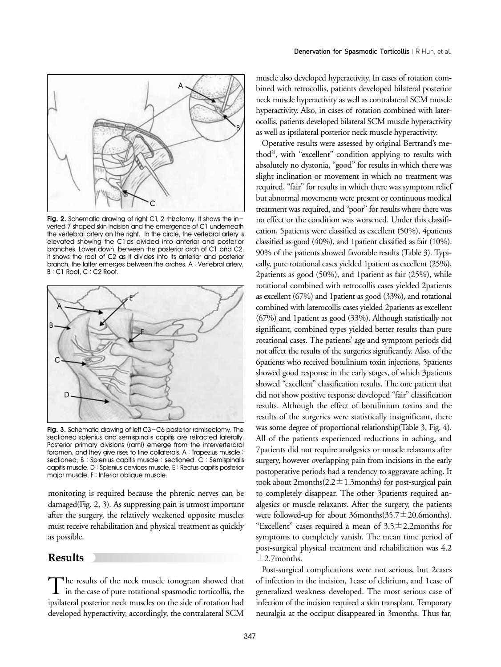

**Fig. 2.** Schematic drawing of right C1, 2 rhizotomy. It shows the inverted 7 shaped skin incision and the emergence of C1 underneath the vertebral artery on the right. In the circle, the vertebral artery is elevated showing the C1as divided into anterior and posterior branches. Lower down, between the posterior arch of C1 and C2, it shows the root of C2 as it divides into its anterior and posterior branch, the latter emerges between the arches. A : Vertebral artery, B : C1 Root, C : C2 Root.



**Fig. 3.** Schematic drawing of left C3-C6 posterior ramisectomy. The sectioned splenius and semispinalis capitis are retracted laterally. Posterior primary divisions (rami) emerge from the interverterbral foramen, and they give rises to fine collaterals. A : Trapezius muscle : sectioned, B : Splenius capitis muscle : sectioned. C : Semispinalis capitis muscle, D : Splenius cervices muscle, E : Rectus capitis posterior major muscle, F : Inferior oblique muscle.

monitoring is required because the phrenic nerves can be damaged(Fig. 2, 3). As suppressing pain is utmost important after the surgery, the relatively weakened opposite muscles must receive rehabilitation and physical treatment as quickly as possible.

## **Results**

The results of the neck muscle tonogram showed that<br>in the case of pure rotational spasmodic torticollis, the ipsilateral posterior neck muscles on the side of rotation had developed hyperactivity, accordingly, the contralateral SCM

muscle also developed hyperactivity. In cases of rotation combined with retrocollis, patients developed bilateral posterior neck muscle hyperactivity as well as contralateral SCM muscle hyperactivity. Also, in cases of rotation combined with laterocollis, patients developed bilateral SCM muscle hyperactivity as well as ipsilateral posterior neck muscle hyperactivity.

Operative results were assessed by original Bertrand's method<sup>2)</sup>, with "excellent" condition applying to results with absolutely no dystonia, "good" for results in which there was slight inclination or movement in which no treatment was required, "fair" for results in which there was symptom relief but abnormal movements were present or continuous medical treatment was required, and "poor" for results where there was no effect or the condition was worsened. Under this classification, 5patients were classified as excellent (50%), 4patients classified as good (40%), and 1patient classified as fair (10%). 90% of the patients showed favorable results (Table 3). Typically, pure rotational cases yielded 1patient as excellent (25%), 2patients as good (50%), and 1patient as fair (25%), while rotational combined with retrocollis cases yielded 2patients as excellent (67%) and 1patient as good (33%), and rotational combined with laterocollis cases yielded 2patients as excellent (67%) and 1patient as good (33%). Although statistically not significant, combined types yielded better results than pure rotational cases. The patients' age and symptom periods did not affect the results of the surgeries significantly. Also, of the 6patients who received botulinium toxin injections, 5patients showed good response in the early stages, of which 3patients showed "excellent" classification results. The one patient that did not show positive response developed "fair" classification results. Although the effect of botulinium toxins and the results of the surgeries were statistically insignificant, there was some degree of proportional relationship(Table 3, Fig. 4). All of the patients experienced reductions in aching, and 7patients did not require analgesics or muscle relaxants after surgery, however overlapping pain from incisions in the early postoperative periods had a tendency to aggravate aching. It took about 2months $(2.2 \pm 1.3$ months) for post-surgical pain to completely disappear. The other 3patients required analgesics or muscle relaxants. After the surgery, the patients were followed-up for about 36months(35.7 $\pm$ 20.6months). "Excellent" cases required a mean of  $3.5 \pm 2.2$ months for symptoms to completely vanish. The mean time period of post-surgical physical treatment and rehabilitation was 4.2  $\pm$ 2.7months.

Post-surgical complications were not serious, but 2cases of infection in the incision, 1case of delirium, and 1case of generalized weakness developed. The most serious case of infection of the incision required a skin transplant. Temporary neuralgia at the occiput disappeared in 3months. Thus far,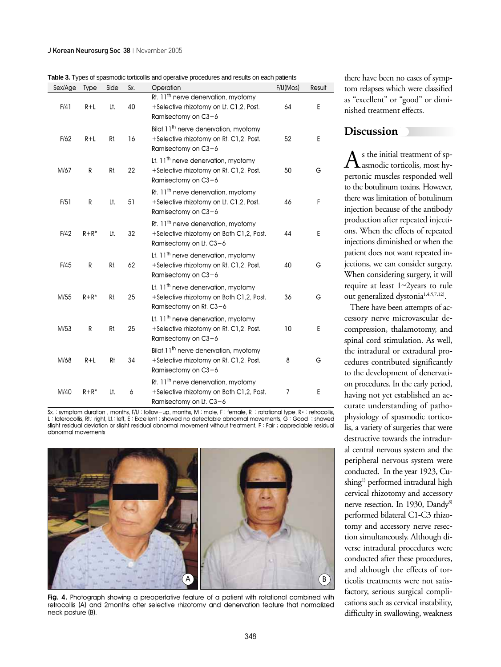**Table 3.** Types of spasmodic torticollis and operative procedures and results on each patients

| Sex/Age | <b>Type</b> | Side | Sx. | Operation                                                                                                                | F/U(Mos) | Result |
|---------|-------------|------|-----|--------------------------------------------------------------------------------------------------------------------------|----------|--------|
| F/41    | $R+L$       | Lt.  | 40  | Rt. 11 <sup>th</sup> nerve denervation, myotomy<br>+Selective rhizotomy on Lt. C1,2, Post.<br>Ramisectomy on C3-6        | 64       | E      |
| F/62    | $R+L$       | Rt.  | 16  | Bilat.11 <sup>th</sup> nerve denervation, myotomy<br>+Selective rhizotomy on Rt. C1.2. Post.<br>Ramisectomy on C3-6      | 52       | E      |
| M/67    | R           | Rt.  | 22  | Lt. 11 <sup>th</sup> nerve denervation, myotomy<br>+Selective rhizotomy on Rt. C1,2, Post.<br>Ramisectomy on C3-6        | 50       | G      |
| F/51    | R           | Lt.  | 51  | Rt. 11 <sup>th</sup> nerve denervation, myotomy<br>+Selective rhizotomy on Lt. C1,2, Post.<br>Ramisectomy on C3-6        | 46       | F      |
| F/42    | $R + R^*$   | Lt.  | 32  | Rt. 11 <sup>th</sup> nerve denervation, myotomy<br>+Selective rhizotomy on Both C1,2, Post.<br>Ramisectomy on Lt. $C3-6$ | 44       | Ε      |
| F/45    | R           | Rt.  | 62  | Lt. 11 <sup>th</sup> nerve denervation, myotomy<br>+Selective rhizotomy on Rt. C1,2, Post.<br>Ramisectomy on C3-6        | 40       | G      |
| M/55    | $R + R^*$   | Rt.  | 25  | Lt. 11 <sup>th</sup> nerve denervation, myotomy<br>+Selective rhizotomy on Both C1,2, Post.<br>Ramisectomy on Rt. C3-6   | 36       | G      |
| M/53    | R           | Rt.  | 25  | Lt. 11 <sup>th</sup> nerve denervation, myotomy<br>+Selective rhizotomy on Rt. C1,2, Post.<br>Ramisectomy on C3-6        | 10       | E      |
| M/68    | $R+L$       | Rt   | 34  | Bilat.11 <sup>th</sup> nerve denervation, myotomy<br>+Selective rhizotomy on Rt. C1,2, Post.<br>Ramisectomy on C3-6      | 8        | G      |
| M/40    | $R + R^*$   | Lt.  | 6   | Rt. 11 <sup>th</sup> nerve denervation, myotomy<br>+Selective rhizotomy on Both C1,2, Post.<br>Ramisectomy on Lt. C3-6   | 7        | Е      |

Sx. : symptom duration, months, F/U : follow-up, months, M : male, F : female, R : rotational type, R\* : retrocollis, L : laterocollis, Rt.: right, Lt.: left, E : Excellent ; showed no detectable abnormal movements, G : Good ; showed slight residual deviation or slight residual abnormal movement without treatment, F : Fair ; appreciable residual abnormal movements



**Fig. 4.** Photograph showing a preopertative feature of a patient with rotational combined with retrocollis (A) and 2months after selective rhizotomy and denervation feature that normalized neck posture (B).

there have been no cases of symptom relapses which were classified as "excellent" or "good" or diminished treatment effects.

## **Discussion**

 $A$ s the initial treatment of sp-<br>asmodic torticolis, most hypertonic muscles responded well to the botulinum toxins. However, there was limitation of botulinum injection because of the antibody production after repeated injections. When the effects of repeated injections diminished or when the patient does not want repeated injections, we can consider surgery. When considering surgery, it will require at least 1~2years to rule out generalized dystonia<sup>1,4,5,7,12)</sup>.

There have been attempts of accessory nerve microvascular decompression, thalamotomy, and spinal cord stimulation. As well, the intradural or extradural procedures contributed significantly to the development of denervation procedures. In the early period, having not yet established an accurate understanding of pathophysiology of spasmodic torticolis, a variety of surgeries that were destructive towards the intradural central nervous system and the peripheral nervous system were conducted. In the year 1923, Cushing<sup>1)</sup> performed intradural high cervical rhizotomy and accessory nerve resection. In 1930, Dandy<sup>8)</sup> performed bilateral C1-C3 rhizotomy and accessory nerve resection simultaneously. Although diverse intradural procedures were conducted after these procedures, and although the effects of torticolis treatments were not satisfactory, serious surgical complications such as cervical instability, difficulty in swallowing, weakness